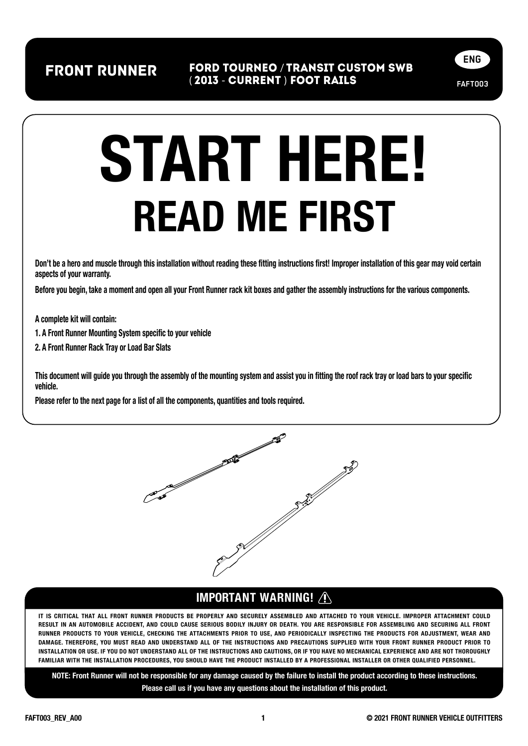front runner FORD TOURNEO / TRANSIT CUSTOM sWB ( 2013 - CURRENT ) FOOT RAILs



# READ ME FIRST START HERE!

Don't be a hero and muscle through this installation without reading these fitting instructions first! Improper installation of this gear may void certain aspects of your warranty.

Before you begin, take a moment and open all your Front Runner rack kit boxes and gather the assembly instructions for the various components.

A complete kit will contain:

1. A Front Runner Mounting System specific to your vehicle

2. A Front Runner Rack Tray or Load Bar Slats

This document will guide you through the assembly of the mounting system and assist you in fitting the roof rack tray or load bars to your specific vehicle.

Please refer to the next page for a list of all the components, quantities and tools required.



#### IMPORTANT WARNING!

IT IS CRITICAL THAT ALL FRONT RUNNER PRODUCTS BE PROPERLY AND SECURELY ASSEMBLED AND ATTACHED TO YOUR VEHICLE. IMPROPER ATTACHMENT COULD RESULT IN AN AUTOMOBILE ACCIDENT, AND COULD CAUSE SERIOUS BODILY INJURY OR DEATH. YOU ARE RESPONSIBLE FOR ASSEMBLING AND SECURING ALL FRONT RUNNER PRODUCTS TO YOUR VEHICLE, CHECKING THE ATTACHMENTS PRIOR TO USE, AND PERIODICALLY INSPECTING THE PRODUCTS FOR ADJUSTMENT, WEAR AND DAMAGE. THEREFORE, YOU MUST READ AND UNDERSTAND ALL OF THE INSTRUCTIONS AND PRECAUTIONS SUPPLIED WITH YOUR FRONT RUNNER PRODUCT PRIOR TO INSTALLATION OR USE. IF YOU DO NOT UNDERSTAND ALL OF THE INSTRUCTIONS AND CAUTIONS, OR IF YOU HAVE NO MECHANICAL EXPERIENCE AND ARE NOT THOROUGHLY FAMILIAR WITH THE INSTALLATION PROCEDURES, YOU SHOULD HAVE THE PRODUCT INSTALLED BY A PROFESSIONAL INSTALLER OR OTHER QUALIFIED PERSONNEL.

NOTE: Front Runner will not be responsible for any damage caused by the failure to install the product according to these instructions. Please call us if you have any questions about the installation of this product.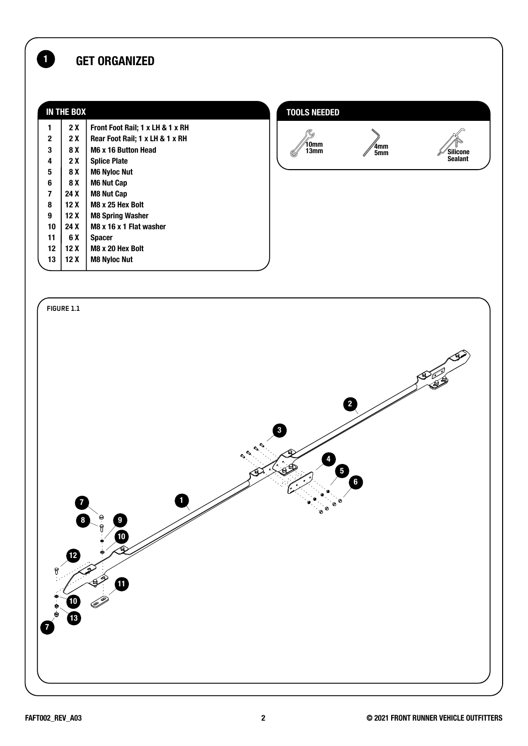#### **1** GET ORGANIZED

| <b>IN THE BOX</b>       |      |                                  | <b>TOOLS NEEDED</b> |            |                 |
|-------------------------|------|----------------------------------|---------------------|------------|-----------------|
| 1                       | 2X   | Front Foot Rail; 1 x LH & 1 x RH |                     |            |                 |
| $\mathbf{2}$            | 2 X  | Rear Foot Rail; 1 x LH & 1 x RH  | ७                   |            |                 |
| 3                       | 8 X  | M6 x 16 Button Head              | 10mm<br>13mm<br>(0  | 4mm<br>5mm | <b>Silicone</b> |
| 4                       | 2 X  | <b>Splice Plate</b>              |                     |            | Sealant         |
| 5                       | 8 X  | <b>M6 Nyloc Nut</b>              |                     |            |                 |
| 6                       | 8 X  | <b>M6 Nut Cap</b>                |                     |            |                 |
| $\overline{\mathbf{z}}$ | 24 X | <b>M8 Nut Cap</b>                |                     |            |                 |
| 8                       | 12X  | M8 x 25 Hex Bolt                 |                     |            |                 |
| 9                       | 12X  | <b>M8 Spring Washer</b>          |                     |            |                 |
| 10                      | 24 X | M8 x 16 x 1 Flat washer          |                     |            |                 |
| 11                      | 6 X  | <b>Spacer</b>                    |                     |            |                 |
| 12                      | 12X  | M8 x 20 Hex Bolt                 |                     |            |                 |
| 13                      | 12X  | <b>M8 Nyloc Nut</b>              |                     |            |                 |
|                         |      |                                  |                     |            |                 |

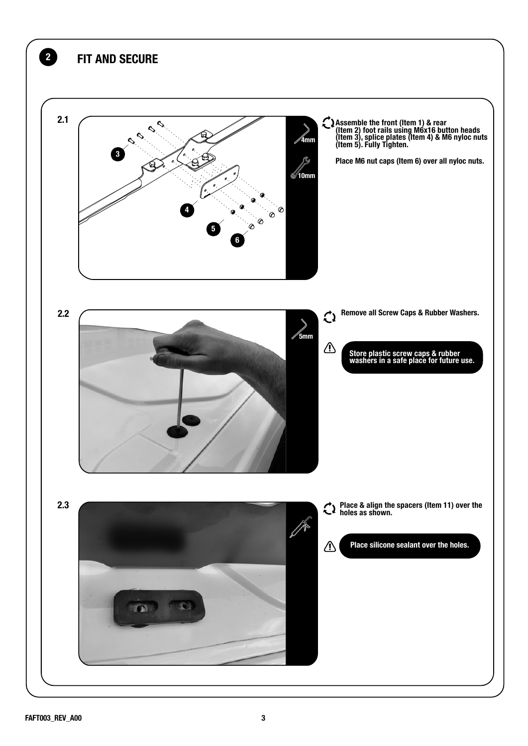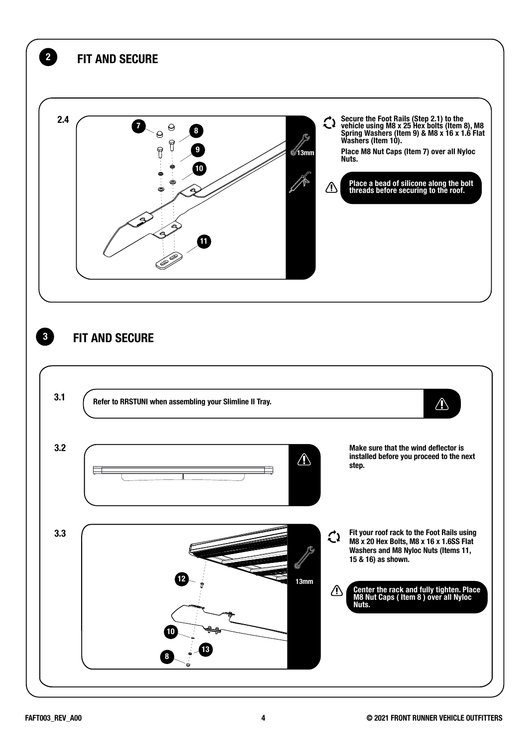